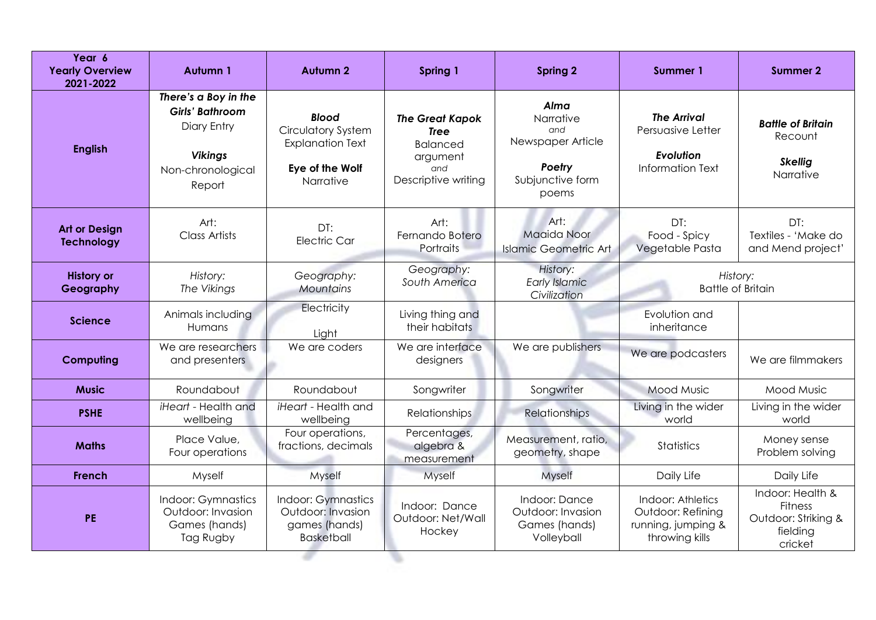| Year 6<br><b>Yearly Overview</b><br>2021-2022 | Autumn 1                                                                                                | <b>Autumn 2</b>                                                                               | Spring 1                                                                                           | <b>Spring 2</b>                                                                      | Summer 1                                                                       | <b>Summer 2</b>                                                                  |
|-----------------------------------------------|---------------------------------------------------------------------------------------------------------|-----------------------------------------------------------------------------------------------|----------------------------------------------------------------------------------------------------|--------------------------------------------------------------------------------------|--------------------------------------------------------------------------------|----------------------------------------------------------------------------------|
| <b>English</b>                                | There's a Boy in the<br>Girls' Bathroom<br>Diary Entry<br><b>Vikings</b><br>Non-chronological<br>Report | <b>Blood</b><br>Circulatory System<br><b>Explanation Text</b><br>Eye of the Wolf<br>Narrative | <b>The Great Kapok</b><br><b>Tree</b><br><b>Balanced</b><br>argument<br>and<br>Descriptive writing | Alma<br>Narrative<br>and<br>Newspaper Article<br>Poetry<br>Subjunctive form<br>poems | <b>The Arrival</b><br>Persuasive Letter<br>Evolution<br>Information Text       | <b>Battle of Britain</b><br>Recount<br><b>Skellig</b><br>Narrative               |
| <b>Art or Design</b><br>Technology            | Art:<br>Class Artists                                                                                   | DT:<br><b>Electric Car</b>                                                                    | Art:<br>Fernando Botero<br>Portraits                                                               | Art:<br>Maaida Noor<br><b>Islamic Geometric Art</b>                                  | DT:<br>Food - Spicy<br>Vegetable Pasta                                         | DT:<br>Textiles - 'Make do<br>and Mend project'                                  |
| <b>History or</b><br>Geography                | History:<br>The Vikings                                                                                 | Geography:<br>Mountains                                                                       | Geography:<br>South America                                                                        | History:<br><b>Early Islamic</b><br>Civilization                                     | History:<br><b>Battle of Britain</b>                                           |                                                                                  |
| <b>Science</b>                                | Animals including<br>Humans                                                                             | Electricity<br>Light                                                                          | Living thing and<br>their habitats                                                                 |                                                                                      | Evolution and<br>inheritance                                                   |                                                                                  |
| Computing                                     | We are researchers<br>and presenters                                                                    | We are coders                                                                                 | We are interface<br>designers                                                                      | We are publishers                                                                    | We are podcasters                                                              | We are filmmakers                                                                |
| <b>Music</b>                                  | Roundabout                                                                                              | Roundabout                                                                                    | Songwriter                                                                                         | Songwriter                                                                           | <b>Mood Music</b>                                                              | <b>Mood Music</b>                                                                |
| <b>PSHE</b>                                   | iHeart - Health and<br>wellbeing                                                                        | iHeart - Health and<br>wellbeing                                                              | Relationships                                                                                      | Relationships                                                                        | Living in the wider<br>world                                                   | Living in the wider<br>world                                                     |
| <b>Maths</b>                                  | Place Value,<br>Four operations                                                                         | Four operations,<br>fractions, decimals                                                       | Percentages,<br>algebra &<br>measurement                                                           | Measurement, ratio,<br>geometry, shape                                               | Statistics                                                                     | Money sense<br>Problem solving                                                   |
| French                                        | Myself                                                                                                  | Myself                                                                                        | Myself                                                                                             | Myself                                                                               | Daily Life                                                                     | Daily Life                                                                       |
| <b>PE</b>                                     | Indoor: Gymnastics<br>Outdoor: Invasion<br>Games (hands)<br>Tag Rugby                                   | Indoor: Gymnastics<br>Outdoor: Invasion<br>games (hands)<br>Basketball                        | Indoor: Dance<br>Outdoor: Net/Wall<br>Hockey                                                       | Indoor: Dance<br>Outdoor: Invasion<br>Games (hands)<br>Volleyball                    | Indoor: Athletics<br>Outdoor: Refining<br>running, jumping &<br>throwing kills | Indoor: Health &<br><b>Fitness</b><br>Outdoor: Striking &<br>fielding<br>cricket |
|                                               |                                                                                                         |                                                                                               |                                                                                                    |                                                                                      |                                                                                |                                                                                  |